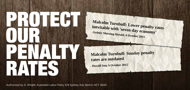PROTECT ! RATES **OUR** PENALTY OF

**Malcolm Turnbull: Lower penalty rates inevitable with 'seven day economy' -Sydney Morning Herald, 6 October 2015**

**Malcolm Turnbull: Sunday penalty rates are outdated**

**- Herald Sun, 6 October 2015**

Authorised by G. Wright, Australian Labor Party, 5/9 Sydney Ave, Barton ACT 2600.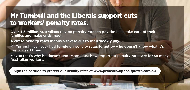## Mr Turnbull and the Liberals support cuts to workers' penalty rates.

Over 4.5 million Australians rely on penalty rates to pay the bills, take care of their families and make ends meet.

A cut to penalty rates means a severe cut to their weekly pay.

Mr Turnbull has never had to rely on penalty rates to get by – he doesn't know what it's like to need them.

Maybe that's why he doesn't understand just how important penalty rates are for so many Australian workers.

Sign the petition to protect our penalty rates at www.protectourpenaltyrates.com.au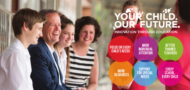## YOUR CHILD.

**INNOVATION THROUGH EDUCATION** 

**FOCUS ON EVERY CHILD'S NEEDS** 

**MORE INDIVIDUAL ATTENTION** 

**BETTER TRAINED TEACHERS** 

**MORE RESOURCES** 

**SUPPORT FOR SPECIAL NEEDS** 

**EVERY** SCHOOL, **EVERY CHILD**